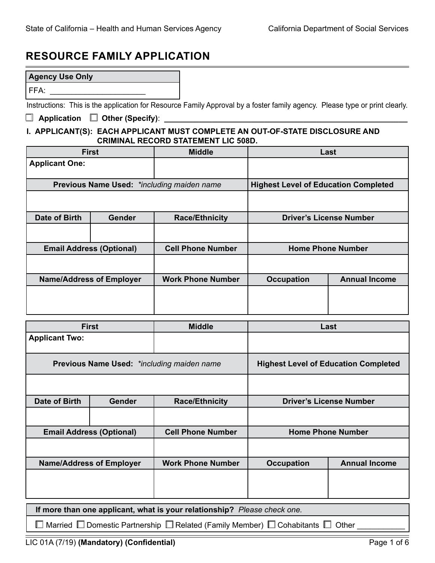# **RESOURCE FAMILY APPLICATION**

| <b>Agency Use Only</b> |                                                                                                                             |
|------------------------|-----------------------------------------------------------------------------------------------------------------------------|
| l FFA:                 |                                                                                                                             |
|                        | Instructions: This is the application for Resource Family Approval by a foster family agency. Please type or print clearly. |

## **Application**  Other (Specify): \_

## **I. APPLICANT(S): EACH APPLICANT MUST COMPLETE AN OUT-OF-STATE DISCLOSURE AND CRIMINAL RECORD STATEMENT LIC 508D.**

|                       | <b>First</b>                    | <b>Middle</b>                              | Last                                        |                                |
|-----------------------|---------------------------------|--------------------------------------------|---------------------------------------------|--------------------------------|
| <b>Applicant One:</b> |                                 |                                            |                                             |                                |
|                       |                                 | Previous Name Used: *including maiden name | <b>Highest Level of Education Completed</b> |                                |
|                       |                                 |                                            |                                             |                                |
| Date of Birth         | <b>Gender</b>                   | <b>Race/Ethnicity</b>                      |                                             | <b>Driver's License Number</b> |
|                       |                                 |                                            |                                             |                                |
|                       | <b>Email Address (Optional)</b> | <b>Cell Phone Number</b>                   |                                             | <b>Home Phone Number</b>       |
|                       |                                 |                                            |                                             |                                |
|                       | <b>Name/Address of Employer</b> | <b>Work Phone Number</b>                   | <b>Annual Income</b><br><b>Occupation</b>   |                                |
|                       |                                 |                                            |                                             |                                |

|                                            | <b>First</b>                                                             | <b>Middle</b>            | Last              |                                             |  |  |
|--------------------------------------------|--------------------------------------------------------------------------|--------------------------|-------------------|---------------------------------------------|--|--|
| <b>Applicant Two:</b>                      |                                                                          |                          |                   |                                             |  |  |
| Previous Name Used: *including maiden name |                                                                          |                          |                   | <b>Highest Level of Education Completed</b> |  |  |
|                                            |                                                                          |                          |                   |                                             |  |  |
| <b>Date of Birth</b>                       | Gender                                                                   | <b>Race/Ethnicity</b>    |                   | <b>Driver's License Number</b>              |  |  |
|                                            |                                                                          |                          |                   |                                             |  |  |
|                                            | <b>Email Address (Optional)</b>                                          | <b>Cell Phone Number</b> |                   | <b>Home Phone Number</b>                    |  |  |
|                                            |                                                                          |                          |                   |                                             |  |  |
| <b>Name/Address of Employer</b>            |                                                                          | <b>Work Phone Number</b> | <b>Occupation</b> | <b>Annual Income</b>                        |  |  |
|                                            |                                                                          |                          |                   |                                             |  |  |
|                                            | If more than one applicant, what is your relationship? Please check one. |                          |                   |                                             |  |  |

 $\Box$  Married  $\Box$  Domestic Partnership  $\Box$  Related (Family Member)  $\Box$  Cohabitants  $\Box$  Other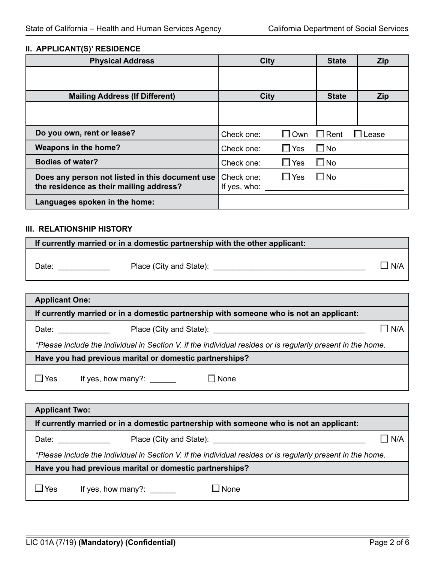#### **II. APPLICANT(S)' RESIDENCE**

| <b>Physical Address</b>                                                                    | <b>City</b>                              | <b>State</b> | <b>Zip</b> |
|--------------------------------------------------------------------------------------------|------------------------------------------|--------------|------------|
|                                                                                            |                                          |              |            |
| <b>Mailing Address (If Different)</b>                                                      | <b>City</b>                              | <b>State</b> | <b>Zip</b> |
|                                                                                            |                                          |              |            |
| Do you own, rent or lease?                                                                 | $\Box$ Own $\Box$ Rent<br>Check one:     |              | Lease      |
| Weapons in the home?                                                                       | $\Box$ Yes<br>Check one:                 | $\square$ No |            |
| <b>Bodies of water?</b>                                                                    | $\Box$ Yes<br>Check one:                 | $\square$ No |            |
| Does any person not listed in this document use<br>the residence as their mailing address? | $\Box$ Yes<br>Check one:<br>If yes, who: | $\square$ No |            |
| Languages spoken in the home:                                                              |                                          |              |            |

#### **III. RELATIONSHIP HISTORY**

| If currently married or in a domestic partnership with the other applicant:             |                                                 |            |  |  |  |
|-----------------------------------------------------------------------------------------|-------------------------------------------------|------------|--|--|--|
| Date:                                                                                   | Place (City and State): <u>________________</u> | $\Box$ N/A |  |  |  |
|                                                                                         |                                                 |            |  |  |  |
| <b>Applicant One:</b>                                                                   |                                                 |            |  |  |  |
| If currently married or in a domestic partnership with someone who is not an applicant: |                                                 |            |  |  |  |

| Date: | Place (City and State): |  | N/A |
|-------|-------------------------|--|-----|
|-------|-------------------------|--|-----|

*\*Please include the individual in Section V. if the individual resides or is regularly present in the home.*

**Have you had previous marital or domestic partnerships?**

 $\Box$  Yes If yes, how many?: \_\_\_\_\_\_  $\Box$  None

| <b>Applicant Two:</b> |                                                                                                                                                                                                                                |                                                                                         |            |  |  |  |
|-----------------------|--------------------------------------------------------------------------------------------------------------------------------------------------------------------------------------------------------------------------------|-----------------------------------------------------------------------------------------|------------|--|--|--|
|                       |                                                                                                                                                                                                                                | If currently married or in a domestic partnership with someone who is not an applicant: |            |  |  |  |
|                       | Date: the contract of the contract of the contract of the contract of the contract of the contract of the contract of the contract of the contract of the contract of the contract of the contract of the contract of the cont | Place (City and State): Place (City and State):                                         | $\Box$ N/A |  |  |  |
|                       | *Please include the individual in Section V. if the individual resides or is regularly present in the home.                                                                                                                    |                                                                                         |            |  |  |  |
|                       | Have you had previous marital or domestic partnerships?                                                                                                                                                                        |                                                                                         |            |  |  |  |
| Yes                   | If yes, how many?:                                                                                                                                                                                                             | ⊿ None                                                                                  |            |  |  |  |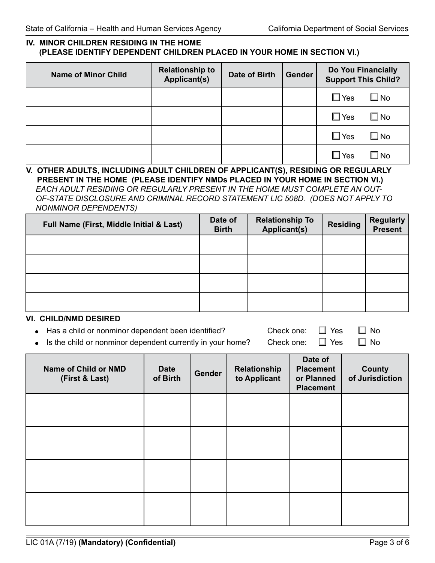#### **IV. MINOR CHILDREN RESIDING IN THE HOME (PLEASE IDENTIFY DEPENDENT CHILDREN PLACED IN YOUR HOME IN SECTION VI.)**

| <b>Name of Minor Child</b> | <b>Relationship to</b><br><b>Applicant(s)</b> | Date of Birth | <b>Gender</b> | Do You Financially<br><b>Support This Child?</b> |              |
|----------------------------|-----------------------------------------------|---------------|---------------|--------------------------------------------------|--------------|
|                            |                                               |               |               | $\square$ Yes                                    | $\square$ No |
|                            |                                               |               |               | $\square$ Yes                                    | $\square$ No |
|                            |                                               |               |               | $\square$ Yes                                    | $\square$ No |
|                            |                                               |               |               | $\square$ Yes                                    | No           |

## **V. OTHER ADULTS, INCLUDING ADULT CHILDREN OF APPLICANT(S), RESIDING OR REGULARLY PRESENT IN THE HOME (PLEASE IDENTIFY NMDs PLACED IN YOUR HOME IN SECTION VI.)**

*EACH ADULT RESIDING OR REGULARLY PRESENT IN THE HOME MUST COMPLETE AN OUT-OF-STATE DISCLOSURE AND CRIMINAL RECORD STATEMENT LIC 508D. (DOES NOT APPLY TO NONMINOR DEPENDENTS)*

| Full Name (First, Middle Initial & Last) | Date of<br><b>Birth</b> | <b>Relationship To</b><br>Applicant(s) | <b>Residing</b> | <b>Regularly</b><br><b>Present</b> |
|------------------------------------------|-------------------------|----------------------------------------|-----------------|------------------------------------|
|                                          |                         |                                        |                 |                                    |
|                                          |                         |                                        |                 |                                    |
|                                          |                         |                                        |                 |                                    |
|                                          |                         |                                        |                 |                                    |

#### **VI. CHILD/NMD DESIRED**

• Has a child or nonminor dependent been identified? Check one:  $\Box$  Yes  $\Box$  No

Is the child or nonminor dependent currently in your home? Check one:  $\Box$  Yes  $\Box$  No

| Name of Child or NMD<br>(First & Last) | <b>Date</b><br>of Birth | <b>Gender</b> | Relationship<br>to Applicant | Date of<br><b>Placement</b><br>or Planned<br><b>Placement</b> | <b>County</b><br>of Jurisdiction |
|----------------------------------------|-------------------------|---------------|------------------------------|---------------------------------------------------------------|----------------------------------|
|                                        |                         |               |                              |                                                               |                                  |
|                                        |                         |               |                              |                                                               |                                  |
|                                        |                         |               |                              |                                                               |                                  |
|                                        |                         |               |                              |                                                               |                                  |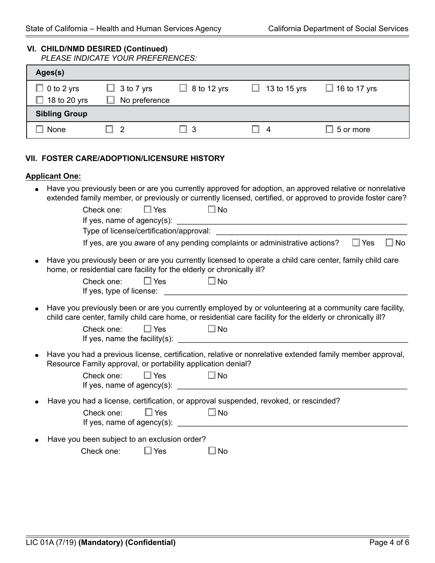#### **VI. CHILD/NMD DESIRED (Continued)**

| <b>PLEASE INDICATE YOUR PREFERENCES:</b> |  |
|------------------------------------------|--|
|------------------------------------------|--|

| Ages(s)              |                   |               |                |                       |
|----------------------|-------------------|---------------|----------------|-----------------------|
| $\Box$ 0 to 2 yrs    | $\Box$ 3 to 7 yrs | $8$ to 12 yrs | 13 to 15 yrs   | $\Box$ 16 to 17 yrs   |
| 18 to 20 yrs         | No preference     |               |                |                       |
| <b>Sibling Group</b> |                   |               |                |                       |
| None                 | $\overline{2}$    | $\Box$ 3      | $\overline{a}$ | $\mathbb I$ 5 or more |

#### **VII. FOSTER CARE/ADOPTION/LICENSURE HISTORY**

#### **Applicant One:**

• Have you previously been or are you currently approved for adoption, an approved relative or nonrelative extended family member, or previously or currently licensed, certified, or approved to provide foster care?

|                                                                                                                                                                                                                        | Yes<br>$\square$ No<br>Check one:                                                                                                                                        |  |  |  |  |
|------------------------------------------------------------------------------------------------------------------------------------------------------------------------------------------------------------------------|--------------------------------------------------------------------------------------------------------------------------------------------------------------------------|--|--|--|--|
|                                                                                                                                                                                                                        |                                                                                                                                                                          |  |  |  |  |
|                                                                                                                                                                                                                        |                                                                                                                                                                          |  |  |  |  |
|                                                                                                                                                                                                                        | $\square$ No<br>If yes, are you aware of any pending complaints or administrative actions?<br>$\square$ Yes                                                              |  |  |  |  |
| Have you previously been or are you currently licensed to operate a child care center, family child care<br>home, or residential care facility for the elderly or chronically ill?                                     |                                                                                                                                                                          |  |  |  |  |
|                                                                                                                                                                                                                        | $\square$ Yes<br>$\square$ No<br>Check one:                                                                                                                              |  |  |  |  |
| Have you previously been or are you currently employed by or volunteering at a community care facility,<br>child care center, family child care home, or residential care facility for the elderly or chronically ill? |                                                                                                                                                                          |  |  |  |  |
|                                                                                                                                                                                                                        | $\square$ Yes<br>$\square$ No<br>Check one:<br>If yes, name the facility(s): $\qquad \qquad$                                                                             |  |  |  |  |
|                                                                                                                                                                                                                        | Have you had a previous license, certification, relative or nonrelative extended family member approval,<br>Resource Family approval, or portability application denial? |  |  |  |  |
|                                                                                                                                                                                                                        | $\Box$ Yes $\Box$ No<br>Check one:<br>If yes, name of agency(s): $\qquad \qquad$                                                                                         |  |  |  |  |
| Have you had a license, certification, or approval suspended, revoked, or rescinded?                                                                                                                                   |                                                                                                                                                                          |  |  |  |  |
|                                                                                                                                                                                                                        | $\square$ Yes<br>$\Box$ No<br>Check one:                                                                                                                                 |  |  |  |  |
| $\bullet$                                                                                                                                                                                                              | Have you been subject to an exclusion order?                                                                                                                             |  |  |  |  |
|                                                                                                                                                                                                                        | Yes<br>Check one:<br>$\mathbb L$<br>No                                                                                                                                   |  |  |  |  |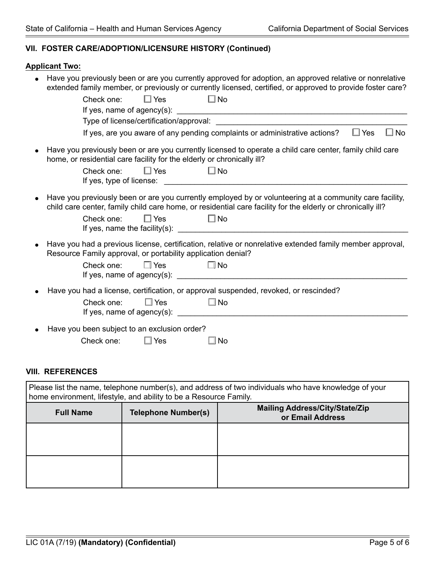# **VII. FOSTER CARE/ADOPTION/LICENSURE HISTORY (Continued)**

## **Applicant Two:**

| Have you previously been or are you currently approved for adoption, an approved relative or nonrelative<br>extended family member, or previously or currently licensed, certified, or approved to provide foster care?                                            |
|--------------------------------------------------------------------------------------------------------------------------------------------------------------------------------------------------------------------------------------------------------------------|
| $\square$ No<br>$\square$ Yes<br>Check one:                                                                                                                                                                                                                        |
|                                                                                                                                                                                                                                                                    |
| Type of license/certification/approval:                                                                                                                                                                                                                            |
| If yes, are you aware of any pending complaints or administrative actions?<br>$\Box$ No<br>$\Box$ Yes                                                                                                                                                              |
| Have you previously been or are you currently licensed to operate a child care center, family child care<br>home, or residential care facility for the elderly or chronically ill?                                                                                 |
| $\square$ No<br>$\square$ Yes<br>Check one:                                                                                                                                                                                                                        |
| Have you previously been or are you currently employed by or volunteering at a community care facility,<br>child care center, family child care home, or residential care facility for the elderly or chronically ill?<br>$\square$ No<br>$\Box$ Yes<br>Check one: |
| Have you had a previous license, certification, relative or nonrelative extended family member approval,<br>Resource Family approval, or portability application denial?<br>$\square$ Yes<br>— I No<br>Check one:                                                  |
| Have you had a license, certification, or approval suspended, revoked, or rescinded?<br>$\Box$ Yes<br>$\square$ No<br>Check one:                                                                                                                                   |
| Have you been subject to an exclusion order?<br>Check one:<br>$\square$ Yes<br>No                                                                                                                                                                                  |

### **VIII. REFERENCES**

| Please list the name, telephone number(s), and address of two individuals who have knowledge of your<br>home environment, lifestyle, and ability to be a Resource Family. |                            |                                                           |  |  |  |  |  |
|---------------------------------------------------------------------------------------------------------------------------------------------------------------------------|----------------------------|-----------------------------------------------------------|--|--|--|--|--|
| <b>Full Name</b>                                                                                                                                                          | <b>Telephone Number(s)</b> | <b>Mailing Address/City/State/Zip</b><br>or Email Address |  |  |  |  |  |
|                                                                                                                                                                           |                            |                                                           |  |  |  |  |  |
|                                                                                                                                                                           |                            |                                                           |  |  |  |  |  |
|                                                                                                                                                                           |                            |                                                           |  |  |  |  |  |
|                                                                                                                                                                           |                            |                                                           |  |  |  |  |  |